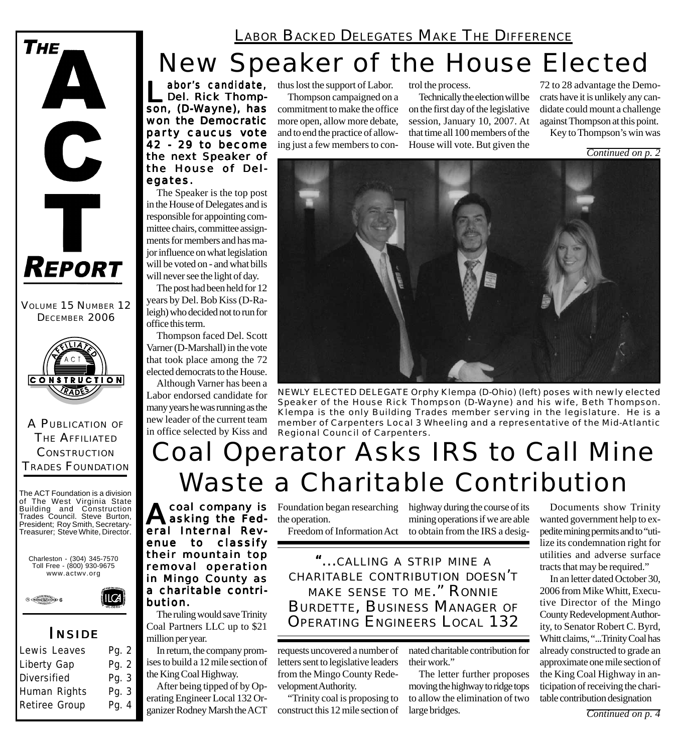

VOLUME 15 NUMBER 12 DECEMBER 2006



A PUBLICATION OF THE AFFILIATED **CONSTRUCTION** TRADES FOUNDATION

The ACT Foundation is a division of The West Virginia State Building and Construction Trades Council. Steve Burton, President; Roy Smith, Secretary-Treasurer; Steve White, Director.





### *I NSIDE*

| Lewis Leaves       | Pg. 2   |
|--------------------|---------|
| Liberty Gap        | Pg. $2$ |
| <b>Diversified</b> | Pg. 3   |
| Human Rights       | Pg. 3   |
| Retiree Group      | Pg. 4   |
|                    |         |

LABOR BACKED DELEGATES MAKE THE DIFFERENCE

# New Speaker of the House Elected

abor's candidate,<br>Del. Rick Thomp-<br>Son (D. Wayne), has son, (D-Wayne), has won the Democratic party caucus vote 42 - 29 to become the next Speaker of the House of Delegates.

The Speaker is the top post in the House of Delegates and is responsible for appointing committee chairs, committee assignments for members and has major influence on what legislation will be voted on - and what bills will never see the light of day.

The post had been held for 12 years by Del. Bob Kiss (D-Raleigh) who decided not to run for office this term.

Thompson faced Del. Scott Varner (D-Marshall) in the vote that took place among the 72 elected democrats to the House.

Although Varner has been a Labor endorsed candidate for many years he was running as the new leader of the current team in office selected by Kiss and

thus lost the support of Labor. Thompson campaigned on a commitment to make the office more open, allow more debate, and to end the practice of allowing just a few members to control the process.

Technically the election will be on the first day of the legislative session, January 10, 2007. At that time all 100 members of the House will vote. But given the

72 to 28 advantage the Democrats have it is unlikely any candidate could mount a challenge against Thompson at this point. Key to Thompson's win was

*Continued on p. 2*



*NEWLY ELECTED DELEGATE Orphy Klempa (D-Ohio) (left) poses with newly elected Speaker of the House Rick Thompson (D-Wayne) and his wife, Beth Thompson. Klempa is the only Building Trades member serving in the legislature. He is a member of Carpenters Local 3 Wheeling and a representative of the Mid-Atlantic Regional Council of Carpenters.*

# Coal Operator Asks IRS to Call Mine Waste a Charitable Contribution

**A**coal company is<br>asking the Federal Internal Revenue to classify their mountain top removal operation in Mingo County as a charitable contribution. bution.

The ruling would save Trinity Coal Partners LLC up to \$21 million per year.

In return, the company promises to build a 12 mile section of the King Coal Highway.

After being tipped of by Operating Engineer Local 132 Organizer Rodney Marsh the ACT

Foundation began researching highway during the course of its the operation.

Freedom of Information Act to obtain from the IRS a desigmining operations if we are able

*"...CALLING <sup>A</sup> STRIP MINE <sup>A</sup> CHARITABLE CONTRIBUTION DOESN'T MAKE SENSE TO ME." RONNIE BURDETTE, BUSINESS MANAGER OF OPERATING ENGINEERS LOCAL 132*

requests uncovered a number of letters sent to legislative leaders from the Mingo County Redevelopment Authority.

"Trinity coal is proposing to construct this 12 mile section of

nated charitable contribution for their work."

The letter further proposes moving the highway to ridge tops to allow the elimination of two large bridges.

Documents show Trinity wanted government help to expedite mining permits and to "utilize its condemnation right for utilities and adverse surface tracts that may be required."

In an letter dated October 30, 2006 from Mike Whitt, Executive Director of the Mingo County Redevelopment Authority, to Senator Robert C. Byrd, Whitt claims, "...Trinity Coal has already constructed to grade an approximate one mile section of the King Coal Highway in anticipation of receiving the charitable contribution designation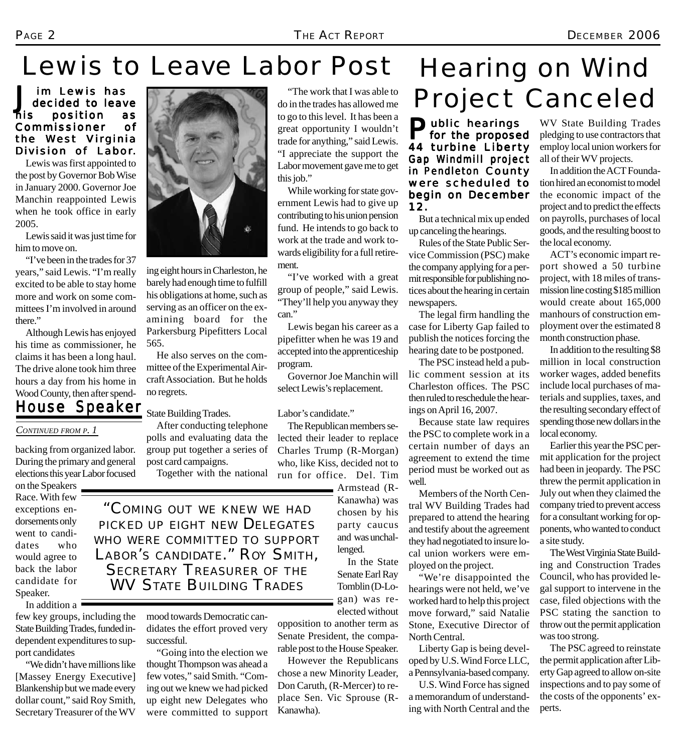# Lewis to Leave Labor Post

J im Lewis has<br>decided to leave<br>his position as decided to leave position Commissioner of the West Virginia Division of Labor.

Lewis was first appointed to the post by Governor Bob Wise in January 2000. Governor Joe Manchin reappointed Lewis when he took office in early 2005.

Lewis said it was just time for him to move on.

"I've been in the trades for 37 years," said Lewis. "I'm really excited to be able to stay home more and work on some committees I'm involved in around there."

Although Lewis has enjoyed his time as commissioner, he claims it has been a long haul. The drive alone took him three hours a day from his home in Wood County, then after spend-

### *House Speaker*

#### *CONTINUED FROM P. 1*

backing from organized labor. During the primary and general elections this year Labor focused

on the Speakers Race. With few exceptions endorsements only went to candidates who would agree to back the labor candidate for Speaker.

In addition a few key groups, including the State Building Trades, funded independent expenditures to support candidates

"We didn't have millions like [Massey Energy Executive] Blankenship but we made every dollar count," said Roy Smith, Secretary Treasurer of the WV



ing eight hours in Charleston, he barely had enough time to fulfill his obligations at home, such as serving as an officer on the examining board for the Parkersburg Pipefitters Local 565.

He also serves on the committee of the Experimental Aircraft Association. But he holds no regrets.

State Building Trades.

After conducting telephone polls and evaluating data the group put together a series of post card campaigns.

Together with the national

*"COMING OUT WE KNEW WE HAD PICKED UP EIGHT NEW DELEGATES WHO WERE COMMITTED TO SUPPORT LABOR'S CANDIDATE." ROY SMITH, SECRETARY TREASURER OF THE WV STATE BUILDING TRADES*

> mood towards Democratic candidates the effort proved very successful.

"Going into the election we thought Thompson was ahead a few votes," said Smith. "Coming out we knew we had picked up eight new Delegates who were committed to support

"The work that I was able to do in the trades has allowed me to go to this level. It has been a great opportunity I wouldn't trade for anything," said Lewis. "I appreciate the support the Labor movement gave me to get this job."

While working for state government Lewis had to give up contributing to his union pension fund. He intends to go back to work at the trade and work towards eligibility for a full retirement.

"I've worked with a great group of people," said Lewis. "They'll help you anyway they can."

Lewis began his career as a pipefitter when he was 19 and accepted into the apprenticeship program.

Governor Joe Manchin will select Lewis's replacement.

Labor's candidate."

The Republican members selected their leader to replace Charles Trump (R-Morgan) who, like Kiss, decided not to run for office. Del. Tim

> Armstead (R-Kanawha) was chosen by his party caucus and was unchallenged.

In the State Senate Earl Ray Tomblin (D-Logan) was reelected without

opposition to another term as Senate President, the comparable post to the House Speaker.

However the Republicans chose a new Minority Leader, Don Caruth, (R-Mercer) to replace Sen. Vic Sprouse (R-Kanawha).

# Hearing on Wind Project Canceled

Public hearings<br>for the proposed 44 turbine Liberty Gap Windmill project in Pendleton County were scheduled to begin on December 12.

But a technical mix up ended up canceling the hearings.

Rules of the State Public Service Commission (PSC) make the company applying for a permit responsible for publishing notices about the hearing in certain newspapers.

The legal firm handling the case for Liberty Gap failed to publish the notices forcing the hearing date to be postponed.

The PSC instead held a public comment session at its Charleston offices. The PSC then ruled to reschedule the hearings on April 16, 2007.

Because state law requires the PSC to complete work in a certain number of days an agreement to extend the time period must be worked out as well.

Members of the North Central WV Building Trades had prepared to attend the hearing and testify about the agreement they had negotiated to insure local union workers were employed on the project.

"We're disappointed the hearings were not held, we've worked hard to help this project move forward," said Natalie Stone, Executive Director of North Central.

Liberty Gap is being developed by U.S. Wind Force LLC, a Pennsylvania-based company.

U.S. Wind Force has signed a memorandum of understanding with North Central and the

WV State Building Trades pledging to use contractors that employ local union workers for all of their WV projects.

In addition the ACT Foundation hired an economist to model the economic impact of the project and to predict the effects on payrolls, purchases of local goods, and the resulting boost to the local economy.

ACT's economic impart report showed a 50 turbine project, with 18 miles of transmission line costing \$185 million would create about 165,000 manhours of construction employment over the estimated 8 month construction phase.

In addition to the resulting \$8 million in local construction worker wages, added benefits include local purchases of materials and supplies, taxes, and the resulting secondary effect of spending those new dollars in the local economy.

Earlier this year the PSC permit application for the project had been in jeopardy. The PSC threw the permit application in July out when they claimed the company tried to prevent access for a consultant working for opponents, who wanted to conduct a site study.

The West Virginia State Building and Construction Trades Council, who has provided legal support to intervene in the case, filed objections with the PSC stating the sanction to throw out the permit application was too strong.

The PSC agreed to reinstate the permit application after Liberty Gap agreed to allow on-site inspections and to pay some of the costs of the opponents' experts.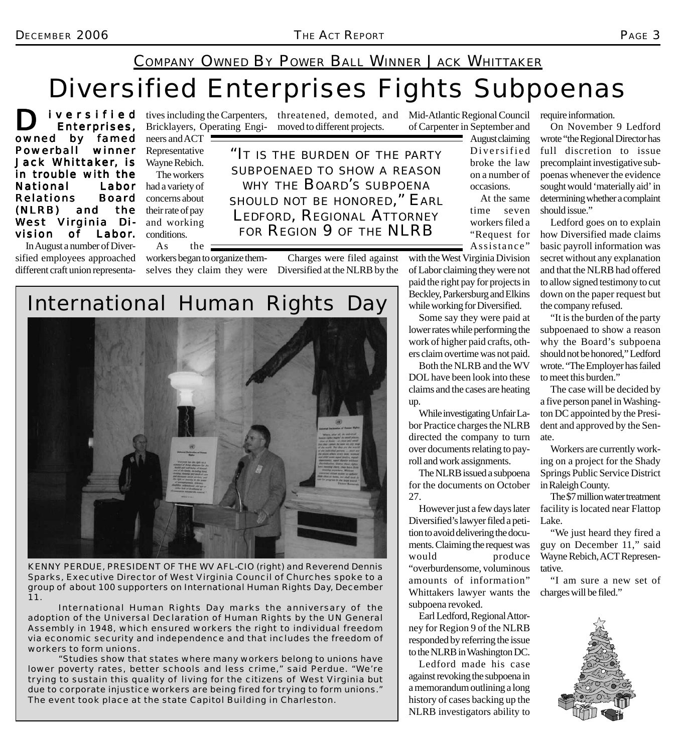#### COMPANY OWNED BY POWER BALL WINNER JACK WHITTAKER

moved to different projects.

## Diversified Enterprises Fights Subpoenas

IVETSIfIED ives including the Carpenters, threatened, demoted, and Mid-Atlantic Regional Council<br>
Enterprises, Bricklayers, Operating Engi- moved to different projects. of Carpenter in September and Enterprises, owned by famed Powerball winner Jack Whittaker, is in trouble with the National Labor Relations Board (NLRB) and the West Virginia Division of Labor. In August a number of Diversified employees approached

different craft union representa-

Bricklayers, Operating Engineers and ACT ! Representative Wayne Rebich. The workers had a variety of

concerns about their rate of pay and working conditions.

As the workers began to organize them-

*"IT IS THE BURDEN OF THE PARTY SUBPOENAED TO SHOW A REASON WHY THE BOARD'S SUBPOENA SHOULD NOT BE HONORED," EARL LEDFORD, REGIONAL ATTORNEY FOR REGION 9 OF THE NLRB*

selves they claim they were Diversified at the NLRB by the Charges were filed against

*International Human Rights Day*

*KENNY PERDUE, PRESIDENT OF THE WV AFL-CIO (right) and Reverend Dennis Sparks, Executive Director of West Virginia Council of Churches spoke to a group of about 100 supporters on International Human Rights Day, December 11.*

*International Human Rights Day marks the anniversary of the adoption of the Universal Declaration of Human Rights by the UN General Assembly in 1948, which ensured workers the right to individual freedom via economic security and independence and that includes the freedom of workers to form unions.*

*"Studies show that states where many workers belong to unions have lower poverty rates, better schools and less crime," said Perdue. "We're trying to sustain this quality of living for the citizens of West Virginia but due to corporate injustice workers are being fired for trying to form unions." The event took place at the state Capitol Building in Charleston.*

time seven workers filed a "Request for Assistance" with the West Virginia Division of Labor claiming they were not

August claiming Diversified broke the law on a number of occasions.

At the same

paid the right pay for projects in Beckley, Parkersburg and Elkins while working for Diversified. Some say they were paid at

of Carpenter in September and

lower rates while performing the work of higher paid crafts, others claim overtime was not paid.

Both the NLRB and the WV DOL have been look into these claims and the cases are heating up.

While investigating Unfair Labor Practice charges the NLRB directed the company to turn over documents relating to payroll and work assignments.

The NLRB issued a subpoena for the documents on October 27.

However just a few days later Diversified's lawyer filed a petition to avoid delivering the documents. Claiming the request was would produce "overburdensome, voluminous amounts of information" Whittakers lawyer wants the subpoena revoked.

Earl Ledford, Regional Attorney for Region 9 of the NLRB responded by referring the issue to the NLRB in Washington DC.

Ledford made his case against revoking the subpoena in a memorandum outlining a long history of cases backing up the NLRB investigators ability to

require information.

On November 9 Ledford wrote "the Regional Director has full discretion to issue precomplaint investigative subpoenas whenever the evidence sought would 'materially aid' in determining whether a complaint should issue."

Ledford goes on to explain how Diversified made claims basic payroll information was secret without any explanation and that the NLRB had offered to allow signed testimony to cut down on the paper request but the company refused.

"It is the burden of the party subpoenaed to show a reason why the Board's subpoena should not be honored," Ledford wrote. "The Employer has failed to meet this burden."

The case will be decided by a five person panel in Washington DC appointed by the President and approved by the Senate.

Workers are currently working on a project for the Shady Springs Public Service District in Raleigh County.

The \$7 million water treatment facility is located near Flattop Lake.

"We just heard they fired a guy on December 11," said Wayne Rebich, ACT Representative.

"I am sure a new set of charges will be filed."